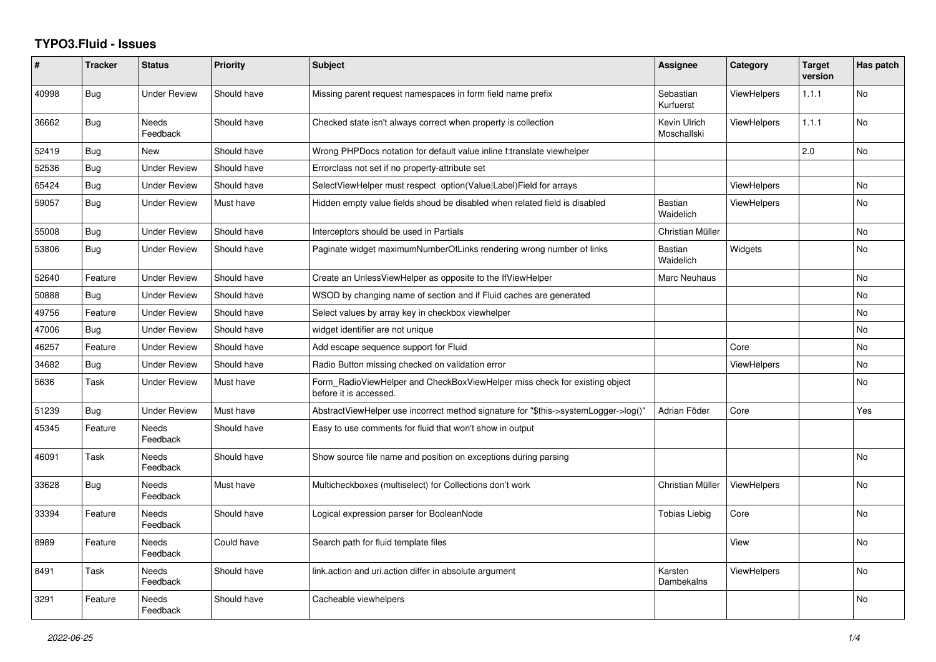## **TYPO3.Fluid - Issues**

| #     | <b>Tracker</b> | <b>Status</b>            | <b>Priority</b> | <b>Subject</b>                                                                                       | Assignee                    | Category           | <b>Target</b><br>version | Has patch      |
|-------|----------------|--------------------------|-----------------|------------------------------------------------------------------------------------------------------|-----------------------------|--------------------|--------------------------|----------------|
| 40998 | <b>Bug</b>     | <b>Under Review</b>      | Should have     | Missing parent request namespaces in form field name prefix                                          | Sebastian<br>Kurfuerst      | <b>ViewHelpers</b> | 1.1.1                    | <b>No</b>      |
| 36662 | Bug            | <b>Needs</b><br>Feedback | Should have     | Checked state isn't always correct when property is collection                                       | Kevin Ulrich<br>Moschallski | <b>ViewHelpers</b> | 1.1.1                    | <b>No</b>      |
| 52419 | Bug            | New                      | Should have     | Wrong PHPDocs notation for default value inline f:translate viewhelper                               |                             |                    | 2.0                      | <b>No</b>      |
| 52536 | <b>Bug</b>     | <b>Under Review</b>      | Should have     | Errorclass not set if no property-attribute set                                                      |                             |                    |                          |                |
| 65424 | Bug            | Under Review             | Should have     | SelectViewHelper must respect option(Value Label)Field for arrays                                    |                             | <b>ViewHelpers</b> |                          | N <sub>o</sub> |
| 59057 | <b>Bug</b>     | <b>Under Review</b>      | Must have       | Hidden empty value fields shoud be disabled when related field is disabled                           | <b>Bastian</b><br>Waidelich | <b>ViewHelpers</b> |                          | No             |
| 55008 | <b>Bug</b>     | <b>Under Review</b>      | Should have     | Interceptors should be used in Partials                                                              | Christian Müller            |                    |                          | <b>No</b>      |
| 53806 | Bug            | Under Review             | Should have     | Paginate widget maximumNumberOfLinks rendering wrong number of links                                 | Bastian<br>Waidelich        | Widgets            |                          | <b>No</b>      |
| 52640 | Feature        | <b>Under Review</b>      | Should have     | Create an UnlessViewHelper as opposite to the IfViewHelper                                           | Marc Neuhaus                |                    |                          | No             |
| 50888 | Bug            | <b>Under Review</b>      | Should have     | WSOD by changing name of section and if Fluid caches are generated                                   |                             |                    |                          | <b>No</b>      |
| 49756 | Feature        | Under Review             | Should have     | Select values by array key in checkbox viewhelper                                                    |                             |                    |                          | <b>No</b>      |
| 47006 | Bug            | Under Review             | Should have     | widget identifier are not unique                                                                     |                             |                    |                          | <b>No</b>      |
| 46257 | Feature        | <b>Under Review</b>      | Should have     | Add escape sequence support for Fluid                                                                |                             | Core               |                          | No             |
| 34682 | <b>Bug</b>     | Under Review             | Should have     | Radio Button missing checked on validation error                                                     |                             | <b>ViewHelpers</b> |                          | <b>No</b>      |
| 5636  | Task           | <b>Under Review</b>      | Must have       | Form_RadioViewHelper and CheckBoxViewHelper miss check for existing object<br>before it is accessed. |                             |                    |                          | No             |
| 51239 | <b>Bug</b>     | Under Review             | Must have       | AbstractViewHelper use incorrect method signature for "\$this->systemLogger->log()"                  | Adrian Föder                | Core               |                          | Yes            |
| 45345 | Feature        | <b>Needs</b><br>Feedback | Should have     | Easy to use comments for fluid that won't show in output                                             |                             |                    |                          |                |
| 46091 | Task           | Needs<br>Feedback        | Should have     | Show source file name and position on exceptions during parsing                                      |                             |                    |                          | No             |
| 33628 | <b>Bug</b>     | Needs<br>Feedback        | Must have       | Multicheckboxes (multiselect) for Collections don't work                                             | Christian Müller            | <b>ViewHelpers</b> |                          | No             |
| 33394 | Feature        | Needs<br>Feedback        | Should have     | Logical expression parser for BooleanNode                                                            | <b>Tobias Liebig</b>        | Core               |                          | N <sub>o</sub> |
| 8989  | Feature        | <b>Needs</b><br>Feedback | Could have      | Search path for fluid template files                                                                 |                             | View               |                          | <b>No</b>      |
| 8491  | Task           | Needs<br>Feedback        | Should have     | link.action and uri.action differ in absolute argument                                               | Karsten<br>Dambekalns       | <b>ViewHelpers</b> |                          | No             |
| 3291  | Feature        | Needs<br>Feedback        | Should have     | Cacheable viewhelpers                                                                                |                             |                    |                          | <b>No</b>      |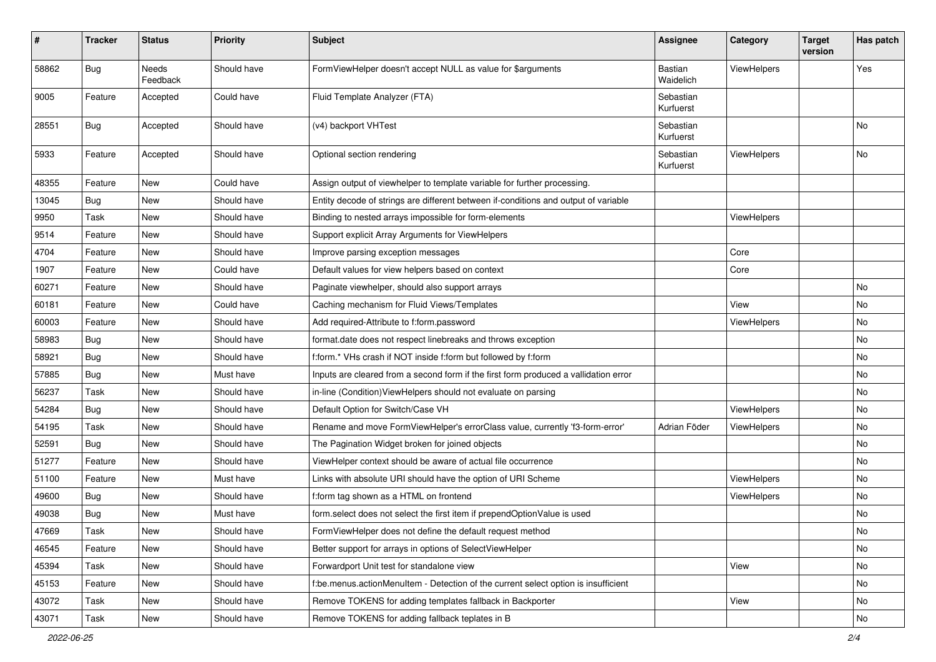| #     | <b>Tracker</b> | <b>Status</b>            | <b>Priority</b> | Subject                                                                              | Assignee               | Category           | <b>Target</b><br>version | Has patch |
|-------|----------------|--------------------------|-----------------|--------------------------------------------------------------------------------------|------------------------|--------------------|--------------------------|-----------|
| 58862 | Bug            | <b>Needs</b><br>Feedback | Should have     | FormViewHelper doesn't accept NULL as value for \$arguments                          | Bastian<br>Waidelich   | ViewHelpers        |                          | Yes       |
| 9005  | Feature        | Accepted                 | Could have      | Fluid Template Analyzer (FTA)                                                        | Sebastian<br>Kurfuerst |                    |                          |           |
| 28551 | Bug            | Accepted                 | Should have     | (v4) backport VHTest                                                                 | Sebastian<br>Kurfuerst |                    |                          | No        |
| 5933  | Feature        | Accepted                 | Should have     | Optional section rendering                                                           | Sebastian<br>Kurfuerst | <b>ViewHelpers</b> |                          | No        |
| 48355 | Feature        | <b>New</b>               | Could have      | Assign output of viewhelper to template variable for further processing.             |                        |                    |                          |           |
| 13045 | <b>Bug</b>     | New                      | Should have     | Entity decode of strings are different between if-conditions and output of variable  |                        |                    |                          |           |
| 9950  | Task           | New                      | Should have     | Binding to nested arrays impossible for form-elements                                |                        | ViewHelpers        |                          |           |
| 9514  | Feature        | New                      | Should have     | Support explicit Array Arguments for ViewHelpers                                     |                        |                    |                          |           |
| 4704  | Feature        | New                      | Should have     | Improve parsing exception messages                                                   |                        | Core               |                          |           |
| 1907  | Feature        | New                      | Could have      | Default values for view helpers based on context                                     |                        | Core               |                          |           |
| 60271 | Feature        | New                      | Should have     | Paginate viewhelper, should also support arrays                                      |                        |                    |                          | No        |
| 60181 | Feature        | New                      | Could have      | Caching mechanism for Fluid Views/Templates                                          |                        | View               |                          | No        |
| 60003 | Feature        | New                      | Should have     | Add required-Attribute to f:form.password                                            |                        | ViewHelpers        |                          | No        |
| 58983 | Bug            | New                      | Should have     | format.date does not respect linebreaks and throws exception                         |                        |                    |                          | No        |
| 58921 | <b>Bug</b>     | New                      | Should have     | f:form.* VHs crash if NOT inside f:form but followed by f:form                       |                        |                    |                          | No        |
| 57885 | Bug            | New                      | Must have       | Inputs are cleared from a second form if the first form produced a vallidation error |                        |                    |                          | No        |
| 56237 | Task           | New                      | Should have     | in-line (Condition) ViewHelpers should not evaluate on parsing                       |                        |                    |                          | No        |
| 54284 | Bug            | New                      | Should have     | Default Option for Switch/Case VH                                                    |                        | <b>ViewHelpers</b> |                          | No        |
| 54195 | Task           | New                      | Should have     | Rename and move FormViewHelper's errorClass value, currently 'f3-form-error'         | Adrian Föder           | ViewHelpers        |                          | No        |
| 52591 | <b>Bug</b>     | New                      | Should have     | The Pagination Widget broken for joined objects                                      |                        |                    |                          | No        |
| 51277 | Feature        | New                      | Should have     | ViewHelper context should be aware of actual file occurrence                         |                        |                    |                          | No        |
| 51100 | Feature        | New                      | Must have       | Links with absolute URI should have the option of URI Scheme                         |                        | ViewHelpers        |                          | No        |
| 49600 | Bug            | New                      | Should have     | f:form tag shown as a HTML on frontend                                               |                        | ViewHelpers        |                          | No        |
| 49038 | <b>Bug</b>     | New                      | Must have       | form select does not select the first item if prependOptionValue is used             |                        |                    |                          | No        |
| 47669 | Task           | New                      | Should have     | FormViewHelper does not define the default request method                            |                        |                    |                          | N0        |
| 46545 | Feature        | New                      | Should have     | Better support for arrays in options of SelectViewHelper                             |                        |                    |                          | No        |
| 45394 | Task           | New                      | Should have     | Forwardport Unit test for standalone view                                            |                        | View               |                          | No        |
| 45153 | Feature        | New                      | Should have     | f:be.menus.actionMenuItem - Detection of the current select option is insufficient   |                        |                    |                          | No        |
| 43072 | Task           | New                      | Should have     | Remove TOKENS for adding templates fallback in Backporter                            |                        | View               |                          | No        |
| 43071 | Task           | New                      | Should have     | Remove TOKENS for adding fallback teplates in B                                      |                        |                    |                          | No        |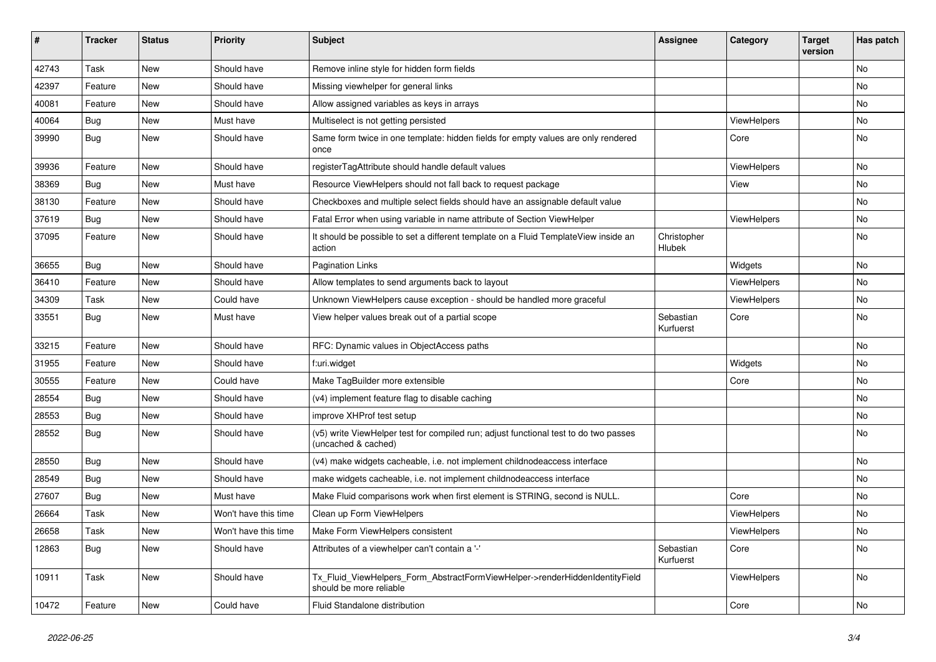| #     | <b>Tracker</b> | <b>Status</b> | <b>Priority</b>      | <b>Subject</b>                                                                                              | <b>Assignee</b>        | Category           | Target<br>version | Has patch |
|-------|----------------|---------------|----------------------|-------------------------------------------------------------------------------------------------------------|------------------------|--------------------|-------------------|-----------|
| 42743 | Task           | New           | Should have          | Remove inline style for hidden form fields                                                                  |                        |                    |                   | <b>No</b> |
| 42397 | Feature        | New           | Should have          | Missing viewhelper for general links                                                                        |                        |                    |                   | <b>No</b> |
| 40081 | Feature        | New           | Should have          | Allow assigned variables as keys in arrays                                                                  |                        |                    |                   | No        |
| 40064 | <b>Bug</b>     | <b>New</b>    | Must have            | Multiselect is not getting persisted                                                                        |                        | ViewHelpers        |                   | No        |
| 39990 | Bug            | New           | Should have          | Same form twice in one template: hidden fields for empty values are only rendered<br>once                   |                        | Core               |                   | No        |
| 39936 | Feature        | <b>New</b>    | Should have          | registerTagAttribute should handle default values                                                           |                        | ViewHelpers        |                   | No        |
| 38369 | Bug            | New           | Must have            | Resource ViewHelpers should not fall back to request package                                                |                        | View               |                   | No        |
| 38130 | Feature        | <b>New</b>    | Should have          | Checkboxes and multiple select fields should have an assignable default value                               |                        |                    |                   | <b>No</b> |
| 37619 | Bug            | New           | Should have          | Fatal Error when using variable in name attribute of Section ViewHelper                                     |                        | ViewHelpers        |                   | No        |
| 37095 | Feature        | New           | Should have          | It should be possible to set a different template on a Fluid TemplateView inside an<br>action               | Christopher<br>Hlubek  |                    |                   | <b>No</b> |
| 36655 | Bug            | <b>New</b>    | Should have          | <b>Pagination Links</b>                                                                                     |                        | Widgets            |                   | <b>No</b> |
| 36410 | Feature        | <b>New</b>    | Should have          | Allow templates to send arguments back to layout                                                            |                        | <b>ViewHelpers</b> |                   | <b>No</b> |
| 34309 | Task           | New           | Could have           | Unknown ViewHelpers cause exception - should be handled more graceful                                       |                        | <b>ViewHelpers</b> |                   | No        |
| 33551 | Bug            | New           | Must have            | View helper values break out of a partial scope                                                             | Sebastian<br>Kurfuerst | Core               |                   | <b>No</b> |
| 33215 | Feature        | New           | Should have          | RFC: Dynamic values in ObjectAccess paths                                                                   |                        |                    |                   | No        |
| 31955 | Feature        | <b>New</b>    | Should have          | f:uri.widget                                                                                                |                        | Widgets            |                   | <b>No</b> |
| 30555 | Feature        | New           | Could have           | Make TagBuilder more extensible                                                                             |                        | Core               |                   | <b>No</b> |
| 28554 | <b>Bug</b>     | New           | Should have          | (v4) implement feature flag to disable caching                                                              |                        |                    |                   | <b>No</b> |
| 28553 | <b>Bug</b>     | New           | Should have          | improve XHProf test setup                                                                                   |                        |                    |                   | <b>No</b> |
| 28552 | Bug            | New           | Should have          | (v5) write ViewHelper test for compiled run; adjust functional test to do two passes<br>(uncached & cached) |                        |                    |                   | <b>No</b> |
| 28550 | Bug            | <b>New</b>    | Should have          | (v4) make widgets cacheable, i.e. not implement childnodeaccess interface                                   |                        |                    |                   | No        |
| 28549 | <b>Bug</b>     | New           | Should have          | make widgets cacheable, i.e. not implement childnodeaccess interface                                        |                        |                    |                   | No        |
| 27607 | <b>Bug</b>     | <b>New</b>    | Must have            | Make Fluid comparisons work when first element is STRING, second is NULL.                                   |                        | Core               |                   | No        |
| 26664 | Task           | New           | Won't have this time | Clean up Form ViewHelpers                                                                                   |                        | ViewHelpers        |                   | No        |
| 26658 | Task           | New           | Won't have this time | Make Form ViewHelpers consistent                                                                            |                        | <b>ViewHelpers</b> |                   | <b>No</b> |
| 12863 | Bug            | New           | Should have          | Attributes of a viewhelper can't contain a '-'                                                              | Sebastian<br>Kurfuerst | Core               |                   | <b>No</b> |
| 10911 | Task           | New           | Should have          | Tx Fluid ViewHelpers Form AbstractFormViewHelper->renderHiddenIdentityField<br>should be more reliable      |                        | <b>ViewHelpers</b> |                   | <b>No</b> |
| 10472 | Feature        | <b>New</b>    | Could have           | Fluid Standalone distribution                                                                               |                        | Core               |                   | <b>No</b> |